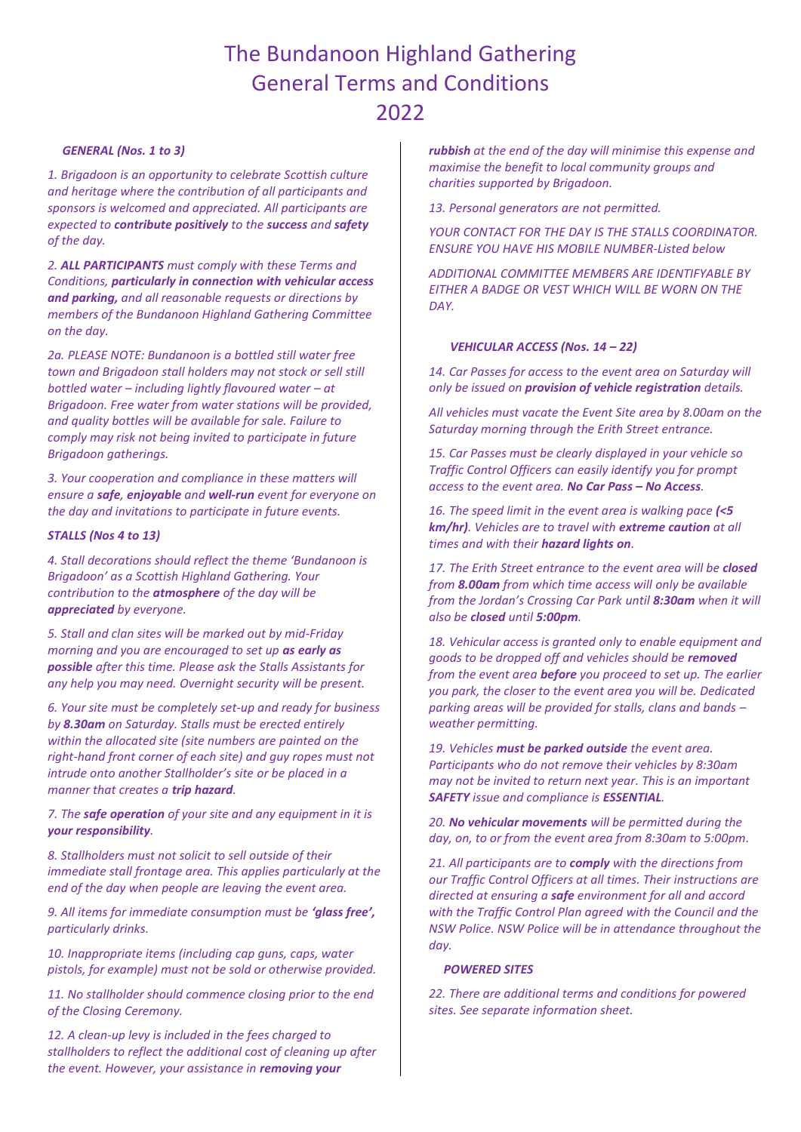# The Bundanoon Highland Gathering General Terms and Conditions 2022

### *GENERAL (Nos. 1 to 3)*

*1. Brigadoon is an opportunity to celebrate Scottish culture and heritage where the contribution of all participants and sponsors is welcomed and appreciated. All participants are expected to contribute positively to the success and safety of the day.* 

*2. ALL PARTICIPANTS must comply with these Terms and Conditions, particularly in connection with vehicular access and parking, and all reasonable requests or directions by members of the Bundanoon Highland Gathering Committee on the day.*

*2a. PLEASE NOTE: Bundanoon is a bottled still water free town and Brigadoon stall holders may not stock or sell still bottled water – including lightly flavoured water – at Brigadoon. Free water from water stations will be provided, and quality bottles will be available for sale. Failure to comply may risk not being invited to participate in future Brigadoon gatherings.*

*3. Your cooperation and compliance in these matters will ensure a safe, enjoyable and well-run event for everyone on the day and invitations to participate in future events.*

## *STALLS (Nos 4 to 13)*

*4. Stall decorations should reflect the theme 'Bundanoon is Brigadoon' as a Scottish Highland Gathering. Your contribution to the atmosphere of the day will be appreciated by everyone.* 

*5. Stall and clan sites will be marked out by mid-Friday morning and you are encouraged to set up as early as possible after this time. Please ask the Stalls Assistants for any help you may need. Overnight security will be present.* 

*6. Your site must be completely set-up and ready for business by 8.30am on Saturday. Stalls must be erected entirely within the allocated site (site numbers are painted on the right-hand front corner of each site) and guy ropes must not intrude onto another Stallholder's site or be placed in a manner that creates a trip hazard.* 

*7. The safe operation of your site and any equipment in it is your responsibility.* 

*8. Stallholders must not solicit to sell outside of their immediate stall frontage area. This applies particularly at the end of the day when people are leaving the event area.*

*9. All items for immediate consumption must be 'glass free', particularly drinks.*

*10. Inappropriate items (including cap guns, caps, water pistols, for example) must not be sold or otherwise provided.*

*11. No stallholder should commence closing prior to the end of the Closing Ceremony.* 

*12. A clean-up levy is included in the fees charged to stallholders to reflect the additional cost of cleaning up after the event. However, your assistance in removing your* 

*rubbish at the end of the day will minimise this expense and maximise the benefit to local community groups and charities supported by Brigadoon.*

*13. Personal generators are not permitted.*

*YOUR CONTACT FOR THE DAY IS THE STALLS COORDINATOR. ENSURE YOU HAVE HIS MOBILE NUMBER-Listed below*

*ADDITIONAL COMMITTEE MEMBERS ARE IDENTIFYABLE BY EITHER A BADGE OR VEST WHICH WILL BE WORN ON THE DAY.* 

# *VEHICULAR ACCESS (Nos. 14 – 22)*

*14. Car Passes for access to the event area on Saturday will only be issued on provision of vehicle registration details.* 

*All vehicles must vacate the Event Site area by 8.00am on the Saturday morning through the Erith Street entrance.*

*15. Car Passes must be clearly displayed in your vehicle so Traffic Control Officers can easily identify you for prompt access to the event area. No Car Pass – No Access.*

*16. The speed limit in the event area is walking pace (<5 km/hr). Vehicles are to travel with extreme caution at all times and with their hazard lights on.* 

*17. The Erith Street entrance to the event area will be closed from 8.00am from which time access will only be available from the Jordan's Crossing Car Park until 8:30am when it will also be closed until 5:00pm.*

*18. Vehicular access is granted only to enable equipment and goods to be dropped off and vehicles should be removed from the event area before you proceed to set up. The earlier you park, the closer to the event area you will be. Dedicated parking areas will be provided for stalls, clans and bands – weather permitting.*

*19. Vehicles must be parked outside the event area. Participants who do not remove their vehicles by 8:30am may not be invited to return next year. This is an important SAFETY issue and compliance is ESSENTIAL.*

*20. No vehicular movements will be permitted during the day, on, to or from the event area from 8:30am to 5:00pm.*

*21. All participants are to comply with the directions from our Traffic Control Officers at all times. Their instructions are directed at ensuring a safe environment for all and accord with the Traffic Control Plan agreed with the Council and the NSW Police. NSW Police will be in attendance throughout the day.*

#### *POWERED SITES*

*22. There are additional terms and conditions for powered sites. See separate information sheet.*